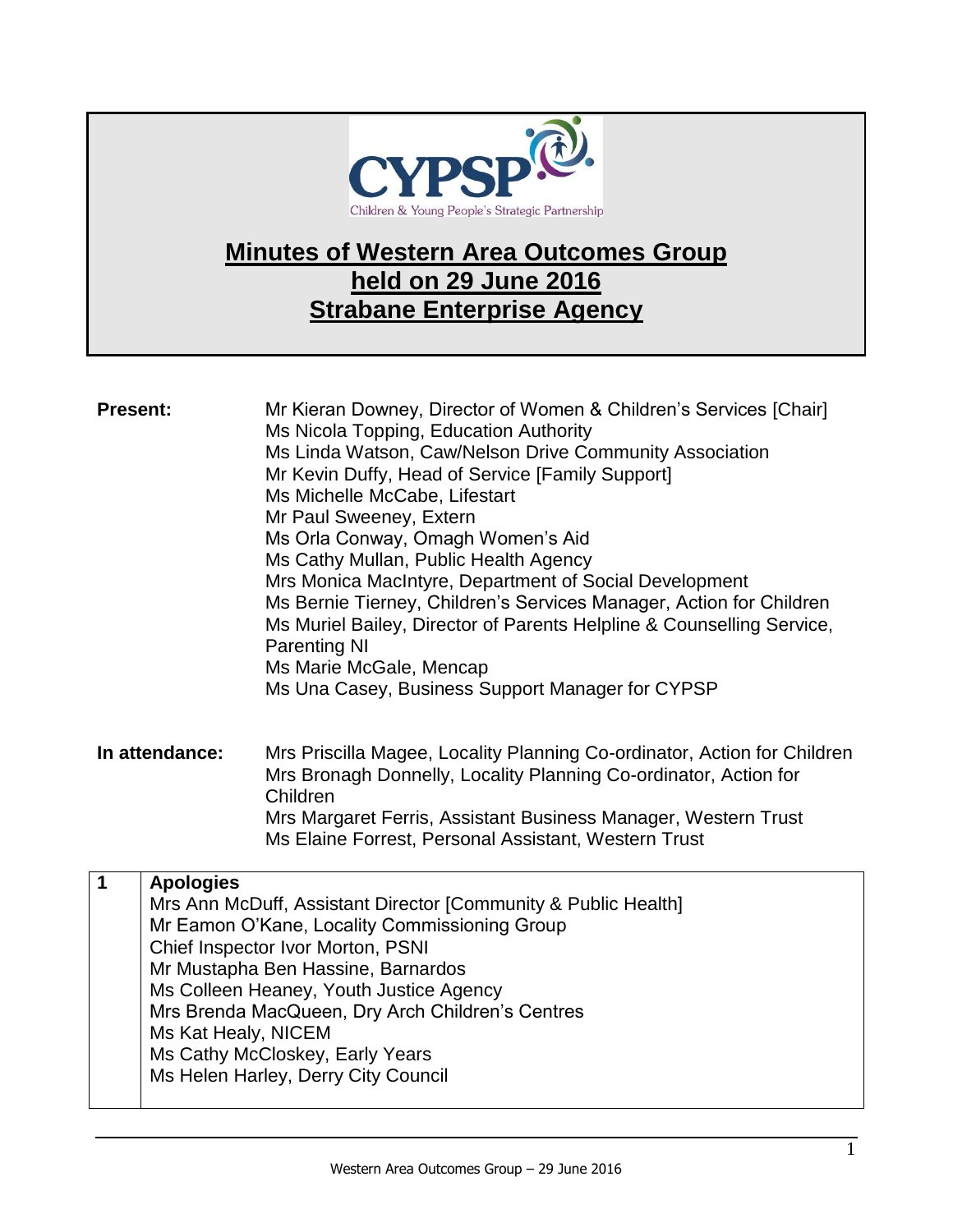

## **Minutes of Western Area Outcomes Group held on 29 June 2016 Strabane Enterprise Agency**

| <b>Present:</b> |                                         | Mr Kieran Downey, Director of Women & Children's Services [Chair]<br>Ms Nicola Topping, Education Authority<br>Ms Linda Watson, Caw/Nelson Drive Community Association<br>Mr Kevin Duffy, Head of Service [Family Support]<br>Ms Michelle McCabe, Lifestart<br>Mr Paul Sweeney, Extern<br>Ms Orla Conway, Omagh Women's Aid<br>Ms Cathy Mullan, Public Health Agency<br>Mrs Monica MacIntyre, Department of Social Development<br>Ms Bernie Tierney, Children's Services Manager, Action for Children<br>Ms Muriel Bailey, Director of Parents Helpline & Counselling Service,<br><b>Parenting NI</b><br>Ms Marie McGale, Mencap |
|-----------------|-----------------------------------------|----------------------------------------------------------------------------------------------------------------------------------------------------------------------------------------------------------------------------------------------------------------------------------------------------------------------------------------------------------------------------------------------------------------------------------------------------------------------------------------------------------------------------------------------------------------------------------------------------------------------------------|
|                 |                                         | Ms Una Casey, Business Support Manager for CYPSP                                                                                                                                                                                                                                                                                                                                                                                                                                                                                                                                                                                 |
| In attendance:  |                                         | Mrs Priscilla Magee, Locality Planning Co-ordinator, Action for Children<br>Mrs Bronagh Donnelly, Locality Planning Co-ordinator, Action for<br>Children<br>Mrs Margaret Ferris, Assistant Business Manager, Western Trust<br>Ms Elaine Forrest, Personal Assistant, Western Trust                                                                                                                                                                                                                                                                                                                                               |
| $\mathbf{1}$    | <b>Apologies</b><br>Ms Kat Healy, NICEM | Mrs Ann McDuff, Assistant Director [Community & Public Health]<br>Mr Eamon O'Kane, Locality Commissioning Group<br>Chief Inspector Ivor Morton, PSNI<br>Mr Mustapha Ben Hassine, Barnardos<br>Ms Colleen Heaney, Youth Justice Agency<br>Mrs Brenda MacQueen, Dry Arch Children's Centres<br>Ms Cathy McCloskey, Early Years<br>Ms Helen Harley, Derry City Council                                                                                                                                                                                                                                                              |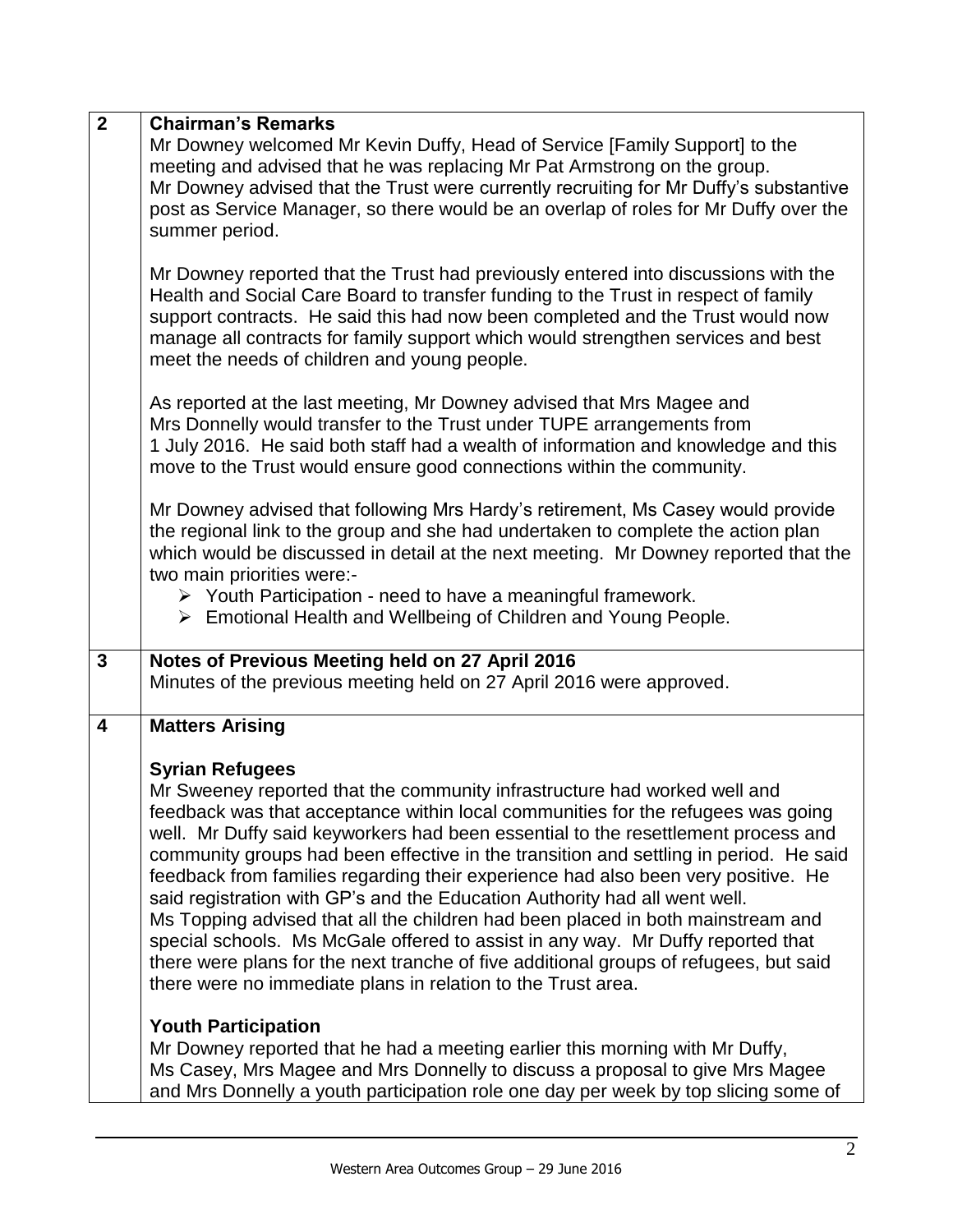| $\mathbf{2}$            | <b>Chairman's Remarks</b><br>Mr Downey welcomed Mr Kevin Duffy, Head of Service [Family Support] to the<br>meeting and advised that he was replacing Mr Pat Armstrong on the group.<br>Mr Downey advised that the Trust were currently recruiting for Mr Duffy's substantive<br>post as Service Manager, so there would be an overlap of roles for Mr Duffy over the<br>summer period.                                                                                                                                                                                                                                                                                                                                                                                                                                                                                  |
|-------------------------|-------------------------------------------------------------------------------------------------------------------------------------------------------------------------------------------------------------------------------------------------------------------------------------------------------------------------------------------------------------------------------------------------------------------------------------------------------------------------------------------------------------------------------------------------------------------------------------------------------------------------------------------------------------------------------------------------------------------------------------------------------------------------------------------------------------------------------------------------------------------------|
|                         | Mr Downey reported that the Trust had previously entered into discussions with the<br>Health and Social Care Board to transfer funding to the Trust in respect of family<br>support contracts. He said this had now been completed and the Trust would now<br>manage all contracts for family support which would strengthen services and best<br>meet the needs of children and young people.                                                                                                                                                                                                                                                                                                                                                                                                                                                                          |
|                         | As reported at the last meeting, Mr Downey advised that Mrs Magee and<br>Mrs Donnelly would transfer to the Trust under TUPE arrangements from<br>1 July 2016. He said both staff had a wealth of information and knowledge and this<br>move to the Trust would ensure good connections within the community.                                                                                                                                                                                                                                                                                                                                                                                                                                                                                                                                                           |
|                         | Mr Downey advised that following Mrs Hardy's retirement, Ms Casey would provide<br>the regional link to the group and she had undertaken to complete the action plan<br>which would be discussed in detail at the next meeting. Mr Downey reported that the<br>two main priorities were:-<br>$\triangleright$ Youth Participation - need to have a meaningful framework.<br>> Emotional Health and Wellbeing of Children and Young People.                                                                                                                                                                                                                                                                                                                                                                                                                              |
| $\mathbf{3}$            | Notes of Previous Meeting held on 27 April 2016<br>Minutes of the previous meeting held on 27 April 2016 were approved.                                                                                                                                                                                                                                                                                                                                                                                                                                                                                                                                                                                                                                                                                                                                                 |
| $\overline{\mathbf{4}}$ | <b>Matters Arising</b>                                                                                                                                                                                                                                                                                                                                                                                                                                                                                                                                                                                                                                                                                                                                                                                                                                                  |
|                         | <b>Syrian Refugees</b><br>Mr Sweeney reported that the community infrastructure had worked well and<br>feedback was that acceptance within local communities for the refugees was going<br>well. Mr Duffy said keyworkers had been essential to the resettlement process and<br>community groups had been effective in the transition and settling in period. He said<br>feedback from families regarding their experience had also been very positive. He<br>said registration with GP's and the Education Authority had all went well.<br>Ms Topping advised that all the children had been placed in both mainstream and<br>special schools. Ms McGale offered to assist in any way. Mr Duffy reported that<br>there were plans for the next tranche of five additional groups of refugees, but said<br>there were no immediate plans in relation to the Trust area. |
|                         | <b>Youth Participation</b><br>Mr Downey reported that he had a meeting earlier this morning with Mr Duffy,<br>Ms Casey, Mrs Magee and Mrs Donnelly to discuss a proposal to give Mrs Magee<br>and Mrs Donnelly a youth participation role one day per week by top slicing some of                                                                                                                                                                                                                                                                                                                                                                                                                                                                                                                                                                                       |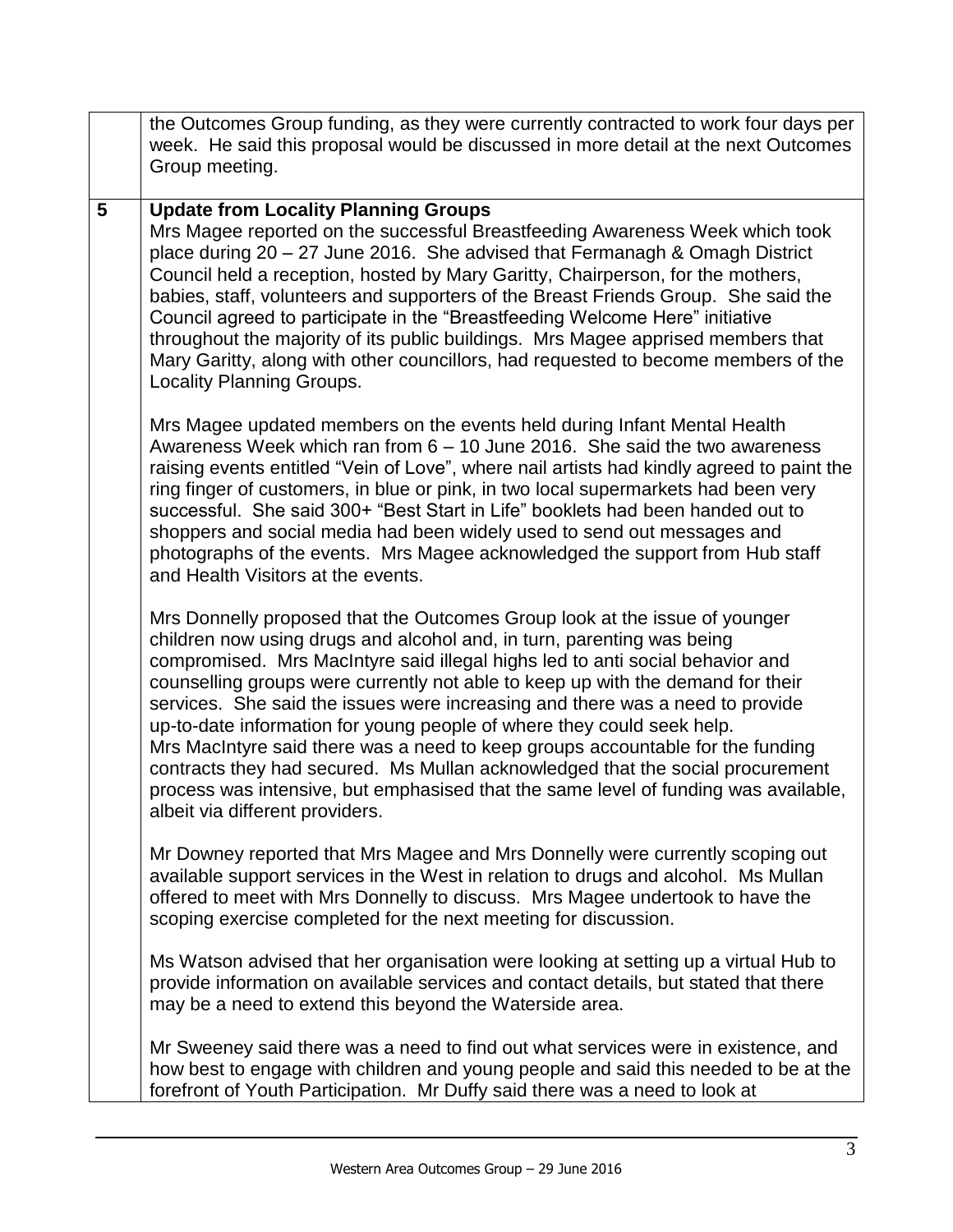|                 | the Outcomes Group funding, as they were currently contracted to work four days per<br>week. He said this proposal would be discussed in more detail at the next Outcomes<br>Group meeting.                                                                                                                                                                                                                                                                                                                                                                                                                                                                                                                                                                                       |
|-----------------|-----------------------------------------------------------------------------------------------------------------------------------------------------------------------------------------------------------------------------------------------------------------------------------------------------------------------------------------------------------------------------------------------------------------------------------------------------------------------------------------------------------------------------------------------------------------------------------------------------------------------------------------------------------------------------------------------------------------------------------------------------------------------------------|
| $5\phantom{.0}$ | <b>Update from Locality Planning Groups</b><br>Mrs Magee reported on the successful Breastfeeding Awareness Week which took<br>place during 20 - 27 June 2016. She advised that Fermanagh & Omagh District<br>Council held a reception, hosted by Mary Garitty, Chairperson, for the mothers,<br>babies, staff, volunteers and supporters of the Breast Friends Group. She said the<br>Council agreed to participate in the "Breastfeeding Welcome Here" initiative<br>throughout the majority of its public buildings. Mrs Magee apprised members that<br>Mary Garitty, along with other councillors, had requested to become members of the<br><b>Locality Planning Groups.</b>                                                                                                 |
|                 | Mrs Magee updated members on the events held during Infant Mental Health<br>Awareness Week which ran from 6 - 10 June 2016. She said the two awareness<br>raising events entitled "Vein of Love", where nail artists had kindly agreed to paint the<br>ring finger of customers, in blue or pink, in two local supermarkets had been very<br>successful. She said 300+ "Best Start in Life" booklets had been handed out to<br>shoppers and social media had been widely used to send out messages and<br>photographs of the events. Mrs Magee acknowledged the support from Hub staff<br>and Health Visitors at the events.                                                                                                                                                      |
|                 | Mrs Donnelly proposed that the Outcomes Group look at the issue of younger<br>children now using drugs and alcohol and, in turn, parenting was being<br>compromised. Mrs MacIntyre said illegal highs led to anti social behavior and<br>counselling groups were currently not able to keep up with the demand for their<br>services. She said the issues were increasing and there was a need to provide<br>up-to-date information for young people of where they could seek help.<br>Mrs MacIntyre said there was a need to keep groups accountable for the funding<br>contracts they had secured. Ms Mullan acknowledged that the social procurement<br>process was intensive, but emphasised that the same level of funding was available,<br>albeit via different providers. |
|                 | Mr Downey reported that Mrs Magee and Mrs Donnelly were currently scoping out<br>available support services in the West in relation to drugs and alcohol. Ms Mullan<br>offered to meet with Mrs Donnelly to discuss. Mrs Magee undertook to have the<br>scoping exercise completed for the next meeting for discussion.                                                                                                                                                                                                                                                                                                                                                                                                                                                           |
|                 | Ms Watson advised that her organisation were looking at setting up a virtual Hub to<br>provide information on available services and contact details, but stated that there<br>may be a need to extend this beyond the Waterside area.                                                                                                                                                                                                                                                                                                                                                                                                                                                                                                                                            |
|                 | Mr Sweeney said there was a need to find out what services were in existence, and<br>how best to engage with children and young people and said this needed to be at the<br>forefront of Youth Participation. Mr Duffy said there was a need to look at                                                                                                                                                                                                                                                                                                                                                                                                                                                                                                                           |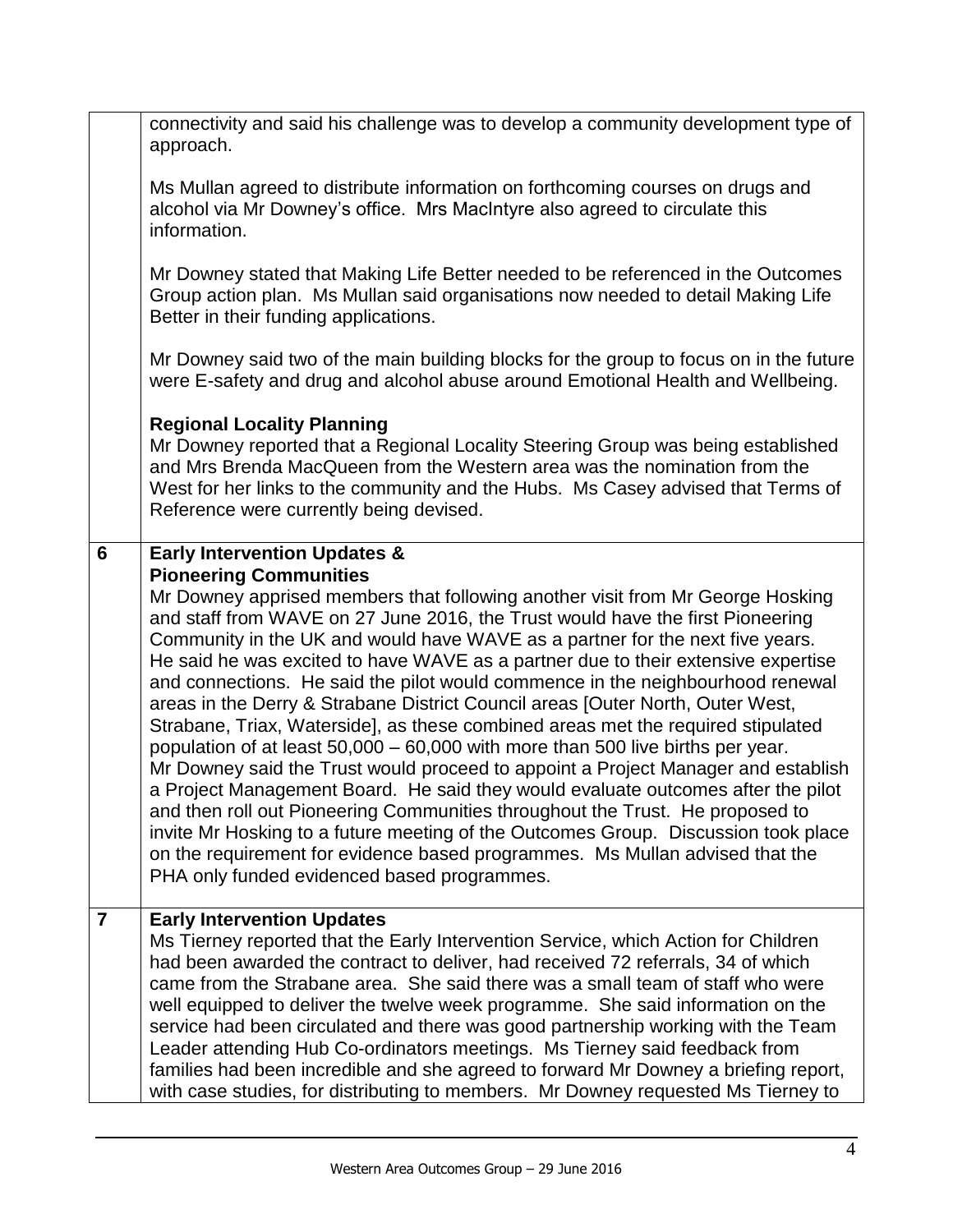|                | connectivity and said his challenge was to develop a community development type of<br>approach.                                                                                                                                                                                                                                                                                                                                                                                                                                                                                                                                                                                                                                                                                                                                                                                                                                                                                                                                                                                                                                                                                                   |
|----------------|---------------------------------------------------------------------------------------------------------------------------------------------------------------------------------------------------------------------------------------------------------------------------------------------------------------------------------------------------------------------------------------------------------------------------------------------------------------------------------------------------------------------------------------------------------------------------------------------------------------------------------------------------------------------------------------------------------------------------------------------------------------------------------------------------------------------------------------------------------------------------------------------------------------------------------------------------------------------------------------------------------------------------------------------------------------------------------------------------------------------------------------------------------------------------------------------------|
|                | Ms Mullan agreed to distribute information on forthcoming courses on drugs and<br>alcohol via Mr Downey's office. Mrs MacIntyre also agreed to circulate this<br>information.                                                                                                                                                                                                                                                                                                                                                                                                                                                                                                                                                                                                                                                                                                                                                                                                                                                                                                                                                                                                                     |
|                | Mr Downey stated that Making Life Better needed to be referenced in the Outcomes<br>Group action plan. Ms Mullan said organisations now needed to detail Making Life<br>Better in their funding applications.                                                                                                                                                                                                                                                                                                                                                                                                                                                                                                                                                                                                                                                                                                                                                                                                                                                                                                                                                                                     |
|                | Mr Downey said two of the main building blocks for the group to focus on in the future<br>were E-safety and drug and alcohol abuse around Emotional Health and Wellbeing.                                                                                                                                                                                                                                                                                                                                                                                                                                                                                                                                                                                                                                                                                                                                                                                                                                                                                                                                                                                                                         |
|                | <b>Regional Locality Planning</b><br>Mr Downey reported that a Regional Locality Steering Group was being established<br>and Mrs Brenda MacQueen from the Western area was the nomination from the<br>West for her links to the community and the Hubs. Ms Casey advised that Terms of<br>Reference were currently being devised.                                                                                                                                                                                                                                                                                                                                                                                                                                                                                                                                                                                                                                                                                                                                                                                                                                                                 |
| 6              | <b>Early Intervention Updates &amp;</b>                                                                                                                                                                                                                                                                                                                                                                                                                                                                                                                                                                                                                                                                                                                                                                                                                                                                                                                                                                                                                                                                                                                                                           |
|                | <b>Pioneering Communities</b><br>Mr Downey apprised members that following another visit from Mr George Hosking<br>and staff from WAVE on 27 June 2016, the Trust would have the first Pioneering<br>Community in the UK and would have WAVE as a partner for the next five years.<br>He said he was excited to have WAVE as a partner due to their extensive expertise<br>and connections. He said the pilot would commence in the neighbourhood renewal<br>areas in the Derry & Strabane District Council areas [Outer North, Outer West,<br>Strabane, Triax, Waterside], as these combined areas met the required stipulated<br>population of at least 50,000 – 60,000 with more than 500 live births per year.<br>Mr Downey said the Trust would proceed to appoint a Project Manager and establish<br>a Project Management Board. He said they would evaluate outcomes after the pilot<br>and then roll out Pioneering Communities throughout the Trust. He proposed to<br>invite Mr Hosking to a future meeting of the Outcomes Group. Discussion took place<br>on the requirement for evidence based programmes. Ms Mullan advised that the<br>PHA only funded evidenced based programmes. |
| $\overline{7}$ | <b>Early Intervention Updates</b><br>Ms Tierney reported that the Early Intervention Service, which Action for Children<br>had been awarded the contract to deliver, had received 72 referrals, 34 of which<br>came from the Strabane area. She said there was a small team of staff who were<br>well equipped to deliver the twelve week programme. She said information on the<br>service had been circulated and there was good partnership working with the Team<br>Leader attending Hub Co-ordinators meetings. Ms Tierney said feedback from<br>families had been incredible and she agreed to forward Mr Downey a briefing report,                                                                                                                                                                                                                                                                                                                                                                                                                                                                                                                                                         |
|                | with case studies, for distributing to members. Mr Downey requested Ms Tierney to                                                                                                                                                                                                                                                                                                                                                                                                                                                                                                                                                                                                                                                                                                                                                                                                                                                                                                                                                                                                                                                                                                                 |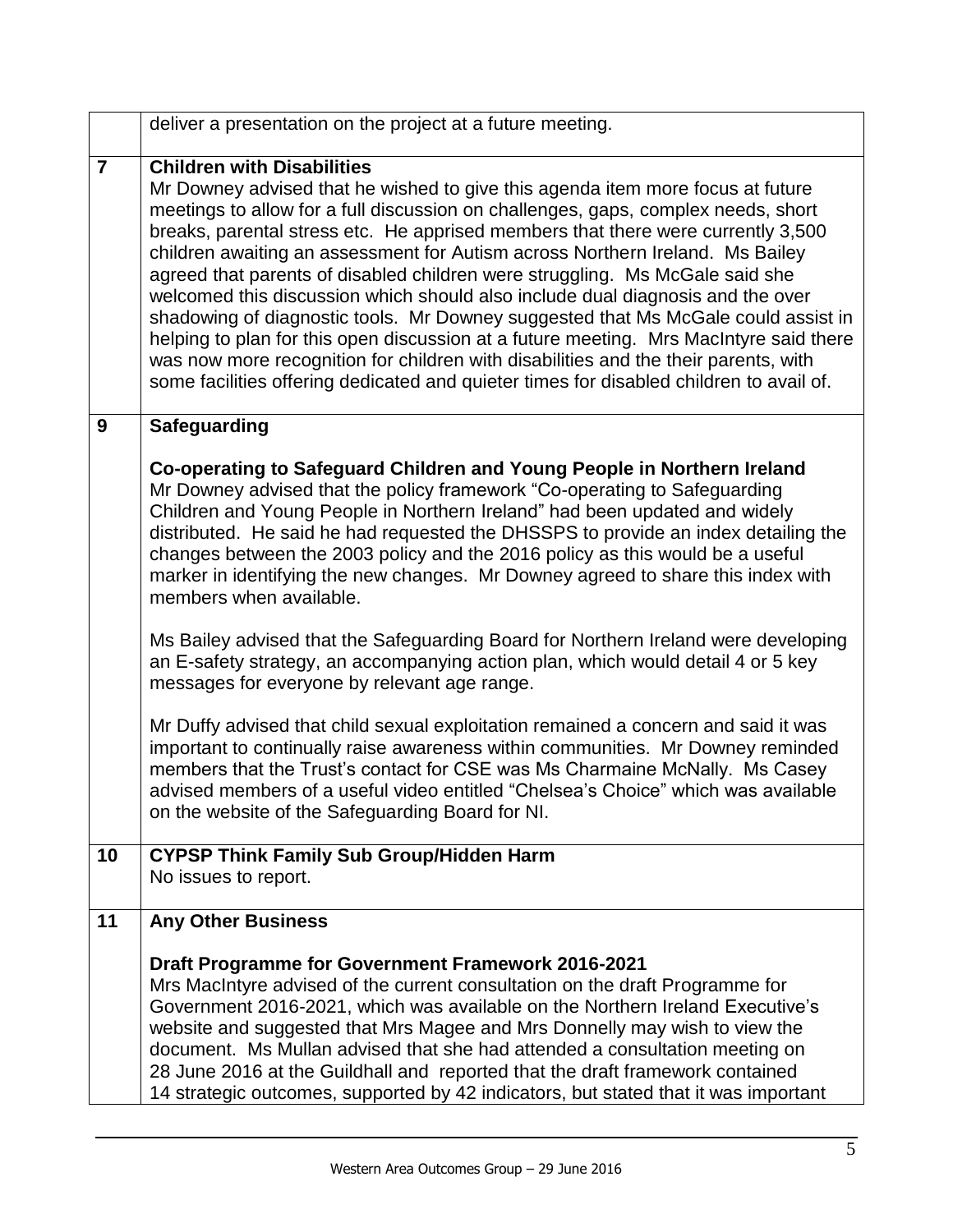|                | deliver a presentation on the project at a future meeting.                                                                                                                                                                                                                                                                                                                                                                                                                                                                                                                                                                                                                                                                                                                                                                                                                                                       |
|----------------|------------------------------------------------------------------------------------------------------------------------------------------------------------------------------------------------------------------------------------------------------------------------------------------------------------------------------------------------------------------------------------------------------------------------------------------------------------------------------------------------------------------------------------------------------------------------------------------------------------------------------------------------------------------------------------------------------------------------------------------------------------------------------------------------------------------------------------------------------------------------------------------------------------------|
| $\overline{7}$ | <b>Children with Disabilities</b><br>Mr Downey advised that he wished to give this agenda item more focus at future<br>meetings to allow for a full discussion on challenges, gaps, complex needs, short<br>breaks, parental stress etc. He apprised members that there were currently 3,500<br>children awaiting an assessment for Autism across Northern Ireland. Ms Bailey<br>agreed that parents of disabled children were struggling. Ms McGale said she<br>welcomed this discussion which should also include dual diagnosis and the over<br>shadowing of diagnostic tools. Mr Downey suggested that Ms McGale could assist in<br>helping to plan for this open discussion at a future meeting. Mrs MacIntyre said there<br>was now more recognition for children with disabilities and the their parents, with<br>some facilities offering dedicated and quieter times for disabled children to avail of. |
| 9              | <b>Safeguarding</b>                                                                                                                                                                                                                                                                                                                                                                                                                                                                                                                                                                                                                                                                                                                                                                                                                                                                                              |
|                | Co-operating to Safeguard Children and Young People in Northern Ireland<br>Mr Downey advised that the policy framework "Co-operating to Safeguarding<br>Children and Young People in Northern Ireland" had been updated and widely<br>distributed. He said he had requested the DHSSPS to provide an index detailing the<br>changes between the 2003 policy and the 2016 policy as this would be a useful<br>marker in identifying the new changes. Mr Downey agreed to share this index with<br>members when available.<br>Ms Bailey advised that the Safeguarding Board for Northern Ireland were developing                                                                                                                                                                                                                                                                                                   |
|                | an E-safety strategy, an accompanying action plan, which would detail 4 or 5 key<br>messages for everyone by relevant age range.                                                                                                                                                                                                                                                                                                                                                                                                                                                                                                                                                                                                                                                                                                                                                                                 |
|                | Mr Duffy advised that child sexual exploitation remained a concern and said it was<br>important to continually raise awareness within communities. Mr Downey reminded<br>members that the Trust's contact for CSE was Ms Charmaine McNally. Ms Casey<br>advised members of a useful video entitled "Chelsea's Choice" which was available<br>on the website of the Safeguarding Board for NI.                                                                                                                                                                                                                                                                                                                                                                                                                                                                                                                    |
| 10             | <b>CYPSP Think Family Sub Group/Hidden Harm</b><br>No issues to report.                                                                                                                                                                                                                                                                                                                                                                                                                                                                                                                                                                                                                                                                                                                                                                                                                                          |
| 11             | <b>Any Other Business</b>                                                                                                                                                                                                                                                                                                                                                                                                                                                                                                                                                                                                                                                                                                                                                                                                                                                                                        |
|                | <b>Draft Programme for Government Framework 2016-2021</b><br>Mrs MacIntyre advised of the current consultation on the draft Programme for<br>Government 2016-2021, which was available on the Northern Ireland Executive's<br>website and suggested that Mrs Magee and Mrs Donnelly may wish to view the<br>document. Ms Mullan advised that she had attended a consultation meeting on<br>28 June 2016 at the Guildhall and reported that the draft framework contained<br>14 strategic outcomes, supported by 42 indicators, but stated that it was important                                                                                                                                                                                                                                                                                                                                                  |